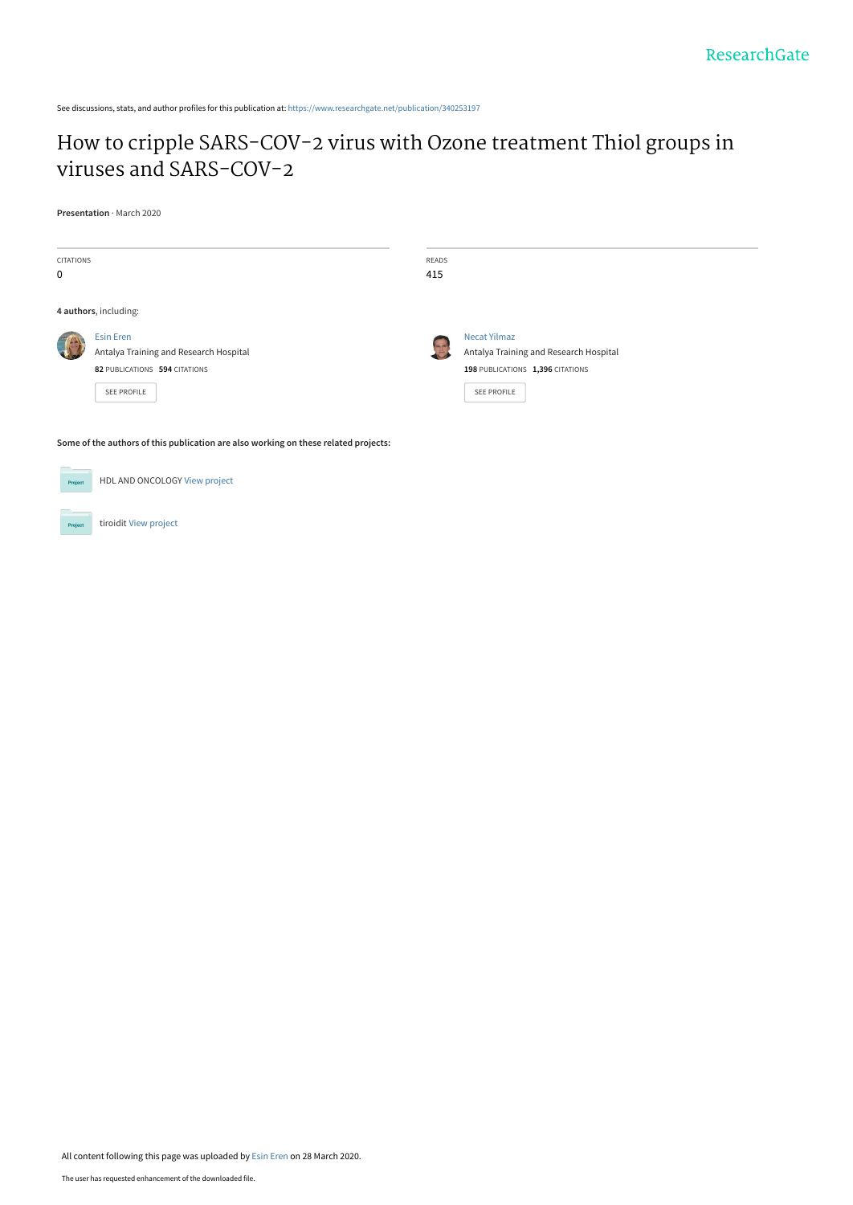See discussions, stats, and author profiles for this publication at: [https://www.researchgate.net/publication/340253197](https://www.researchgate.net/publication/340253197_How_to_cripple_SARS-COV-2_virus_with_Ozone_treatment_Thiol_groups_in_viruses_and_SARS-COV-2?enrichId=rgreq-cfc8f4acb5f07c9505f6c9f7036ee409-XXX&enrichSource=Y292ZXJQYWdlOzM0MDI1MzE5NztBUzo4NzQwNTM2ODIzNDgwMzRAMTU4NTQwMjA0NTYwNA%3D%3D&el=1_x_2&_esc=publicationCoverPdf)

# [How to cripple SARS-COV-2 virus with Ozone treatment Thiol groups in](https://www.researchgate.net/publication/340253197_How_to_cripple_SARS-COV-2_virus_with_Ozone_treatment_Thiol_groups_in_viruses_and_SARS-COV-2?enrichId=rgreq-cfc8f4acb5f07c9505f6c9f7036ee409-XXX&enrichSource=Y292ZXJQYWdlOzM0MDI1MzE5NztBUzo4NzQwNTM2ODIzNDgwMzRAMTU4NTQwMjA0NTYwNA%3D%3D&el=1_x_3&_esc=publicationCoverPdf) viruses and SARS-COV-2

**Presentation** · March 2020

| <b>CITATIONS</b><br>0                                                               |                                                                                                                   | READS<br>415 |                                                                                                                  |
|-------------------------------------------------------------------------------------|-------------------------------------------------------------------------------------------------------------------|--------------|------------------------------------------------------------------------------------------------------------------|
| 4 authors, including:                                                               |                                                                                                                   |              |                                                                                                                  |
|                                                                                     | <b>Esin Eren</b><br>Antalya Training and Research Hospital<br>82 PUBLICATIONS 594 CITATIONS<br><b>SEE PROFILE</b> | <b>DO AT</b> | <b>Necat Yilmaz</b><br>Antalya Training and Research Hospital<br>198 PUBLICATIONS 1,396 CITATIONS<br>SEE PROFILE |
| Some of the authors of this publication are also working on these related projects: |                                                                                                                   |              |                                                                                                                  |



All content following this page was uploaded by [Esin Eren](https://www.researchgate.net/profile/Esin_Eren2?enrichId=rgreq-cfc8f4acb5f07c9505f6c9f7036ee409-XXX&enrichSource=Y292ZXJQYWdlOzM0MDI1MzE5NztBUzo4NzQwNTM2ODIzNDgwMzRAMTU4NTQwMjA0NTYwNA%3D%3D&el=1_x_10&_esc=publicationCoverPdf) on 28 March 2020.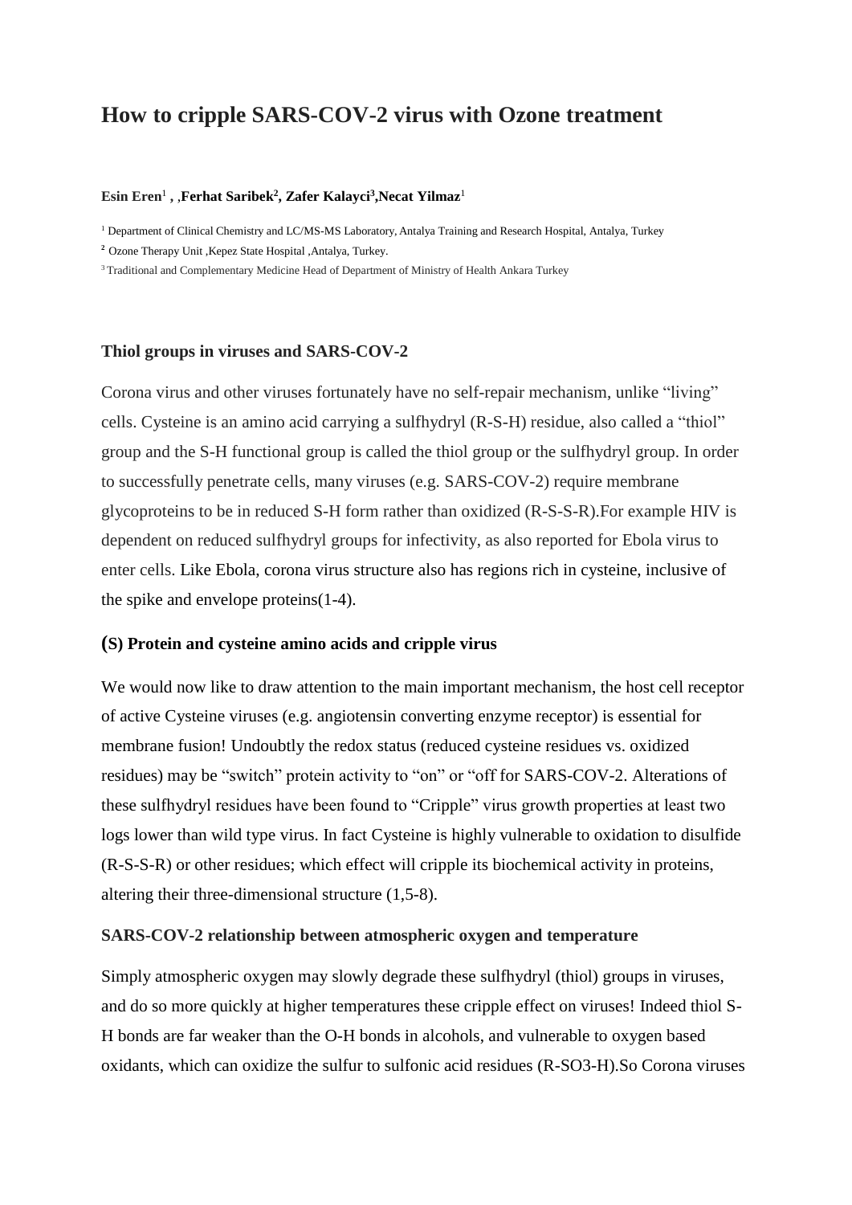# **How to cripple SARS-COV-2 virus with Ozone treatment**

#### **Esin Eren**<sup>1</sup> **,** ,**Ferhat Saribek<sup>2</sup> , Zafer Kalayci 3 ,Necat Yilmaz**<sup>1</sup>

<sup>1</sup> Department of Clinical Chemistry and LC/MS-MS Laboratory, Antalya Training and Research Hospital, Antalya, Turkey

**<sup>2</sup>**Ozone Therapy Unit ,Kepez State Hospital ,Antalya, Turkey.

<sup>3</sup> Traditional and Complementary Medicine Head of Department of Ministry of Health Ankara Turkey

#### **Thiol groups in viruses and SARS-COV-2**

Corona virus and other viruses fortunately have no self-repair mechanism, unlike "living" cells. Cysteine is an amino acid carrying a sulfhydryl (R-S-H) residue, also called a "thiol" group and the S-H functional group is called the thiol group or the sulfhydryl group. In order to successfully penetrate cells, many viruses (e.g. SARS-COV-2) require membrane glycoproteins to be in reduced S-H form rather than oxidized (R-S-S-R).For example HIV is dependent on reduced sulfhydryl groups for infectivity, as also reported for Ebola virus to enter cells. Like Ebola, corona virus structure also has regions rich in cysteine, inclusive of the spike and envelope proteins(1-4).

#### **(S) Protein and cysteine amino acids and cripple virus**

We would now like to draw attention to the main important mechanism, the host cell receptor of active Cysteine viruses (e.g. angiotensin converting enzyme receptor) is essential for membrane fusion! Undoubtly the redox status (reduced cysteine residues vs. oxidized residues) may be "switch" protein activity to "on" or "off for SARS-COV-2. Alterations of these sulfhydryl residues have been found to "Cripple" virus growth properties at least two logs lower than wild type virus. In fact Cysteine is highly vulnerable to oxidation to disulfide (R-S-S-R) or other residues; which effect will cripple its biochemical activity in proteins, altering their three-dimensional structure (1,5-8).

### **SARS-COV-2 relationship between atmospheric oxygen and temperature**

Simply atmospheric oxygen may slowly degrade these sulfhydryl (thiol) groups in viruses, and do so more quickly at higher temperatures these cripple effect on viruses! Indeed thiol S-H bonds are far weaker than the O-H bonds in alcohols, and vulnerable to oxygen based oxidants, which can oxidize the sulfur to sulfonic acid residues (R-SO3-H).So Corona viruses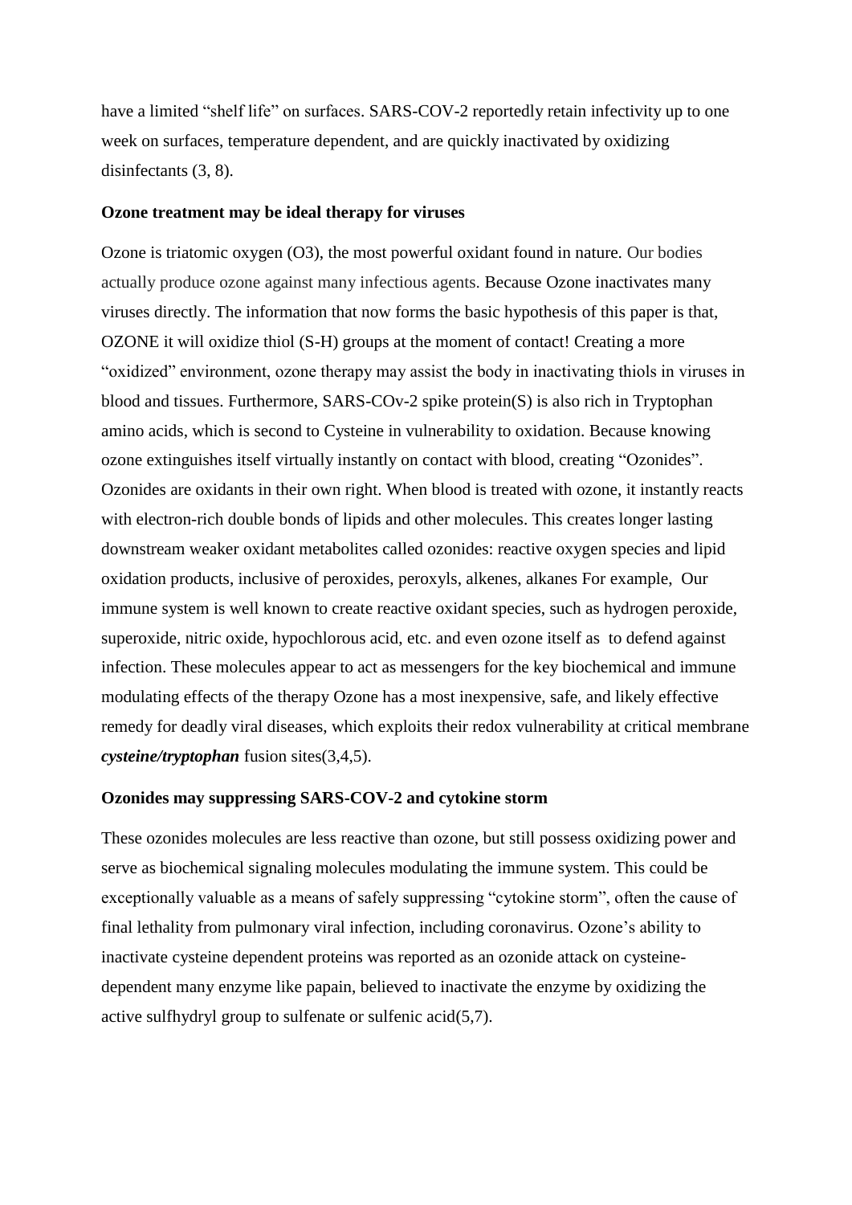have a limited "shelf life" on surfaces. SARS-COV-2 reportedly retain infectivity up to one week on surfaces, temperature dependent, and are quickly inactivated by oxidizing disinfectants (3, 8).

#### **Ozone treatment may be ideal therapy for viruses**

Ozone is triatomic oxygen (O3), the most powerful oxidant found in nature. Our bodies actually produce ozone against many infectious agents. Because Ozone inactivates many viruses directly. The information that now forms the basic hypothesis of this paper is that, OZONE it will oxidize thiol (S-H) groups at the moment of contact! Creating a more "oxidized" environment, ozone therapy may assist the body in inactivating thiols in viruses in blood and tissues. Furthermore, SARS-COv-2 spike protein(S) is also rich in Tryptophan amino acids, which is second to Cysteine in vulnerability to oxidation. Because knowing ozone extinguishes itself virtually instantly on contact with blood, creating "Ozonides". Ozonides are oxidants in their own right. When blood is treated with ozone, it instantly reacts with electron-rich double bonds of lipids and other molecules. This creates longer lasting downstream weaker oxidant metabolites called ozonides: reactive oxygen species and lipid oxidation products, inclusive of peroxides, peroxyls, alkenes, alkanes For example, Our immune system is well known to create reactive oxidant species, such as hydrogen peroxide, superoxide, nitric oxide, hypochlorous acid, etc. and even ozone itself as to defend against infection. These molecules appear to act as messengers for the key biochemical and immune modulating effects of the therapy Ozone has a most inexpensive, safe, and likely effective remedy for deadly viral diseases, which exploits their redox vulnerability at critical membrane *cysteine/tryptophan* fusion sites(3,4,5).

#### **Ozonides may suppressing SARS-COV-2 and cytokine storm**

These ozonides molecules are less reactive than ozone, but still possess oxidizing power and serve as biochemical signaling molecules modulating the immune system. This could be exceptionally valuable as a means of safely suppressing "cytokine storm", often the cause of final lethality from pulmonary viral infection, including coronavirus. Ozone's ability to inactivate cysteine dependent proteins was reported as an ozonide attack on cysteinedependent many enzyme like papain, believed to inactivate the enzyme by oxidizing the active sulfhydryl group to sulfenate or sulfenic acid(5,7).